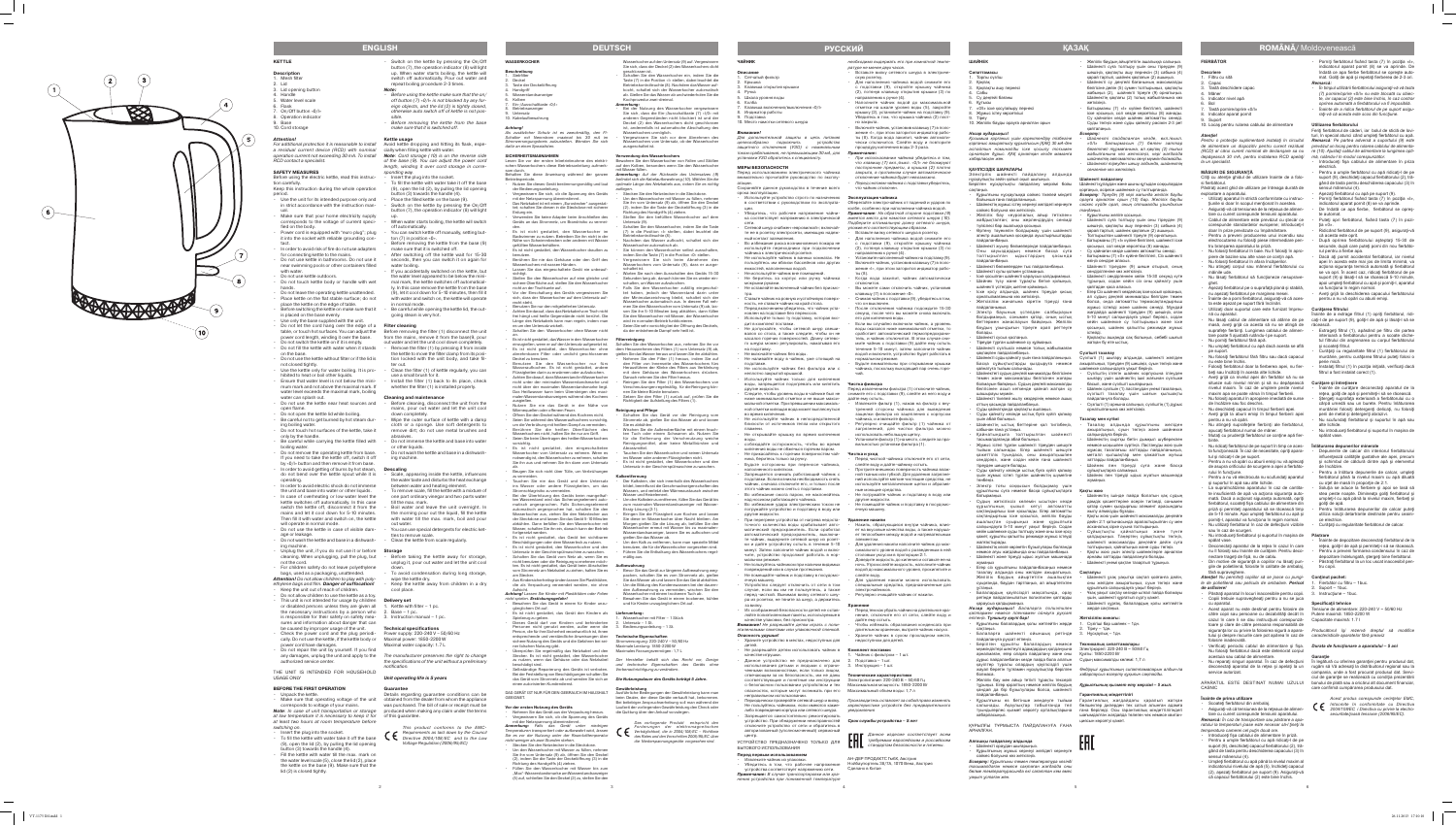### **FIERBĂTOR**

- **Descriere**
- Filtru cu sită Capac
- Tastă deschidere capa
- **M**âner
- Indicator nivel apă 6. Bol
- Tastă pornire/oprire «0/l»
- 8. Indicator aparat pornit Suport
- 10. Locaş pentru rularea cablului de alimentare

### *Atenţie!*

*Pentru o protecţie suplimentară instalaţi în circuitul de alimentare un dispozitiv pentru curent rezidual prevăzut un locaş pentru rularea cablului de alimenta - (RCD) al cărui curent nominal de declanşare sa nu re (10)* . *Ajustaţi cablul de alimentare la lungimea opti depăşească 30 mA, pentru instalarea RCD apelaţi la un specialist.*

### **MĂSURI DE SIGURANŢĂ**

-

- Citiţi cu atenţie ghidul de utilizare înainte de a folo si fierbătorul. Păstraţi acest ghid de utilizare pe întreaga durată de
- exploatare a aparatului. Utilizati aparatul în strictă conformitate cu instruc -
- ţiunile si doar în scopul menţionat în acestea.
- • Asiguraţi *-*vă că tensiunea de la reţeaua de alimen tare cu curent corespunde tensiunii aparatului. Cablul de alimentare este prevăzut cu stecăr ce
- corespunde standardelor europene; introduceţi-l doar în prize prevăzute cu împământare.
- Pentru a preveni producerea unui incendiu sau electrocutarea nu folosiţi piese intermediare pen
- tru branşarea aparatului la priză. • Nu folosiţi fierbătorul în baie. Nu îl folosiţi în apro piere de bazine sau alte vase ce conţin apă.
- Nu folositi fierbătorul în afara încăperilor
- Nu atingeți corpul sau mânerul fierbătorului cu mâinile ude.
- · Nu lăsați fierbătorul să funcționeze nesuprave-
- ahet Ășezați fierbătorul pe o suprafață plană și stabilă
- nu aşezaţi fierbătorul pe marginea mesei. • Înainte de a porni fierbătorul, asiguraţi-vă că aces ta este aşezat pe suport fără înclinări.
- Utilizați doar suportul care este furnizat împreună cu aparatul.
- Nu lăsați cablul de alimentare să atârne de pe masă, aveţi grijă ca acesta să nu se atingă de suprafeţe fierbinţi. Lungimea cablului de alimen -
- tare poate fi ajustată rulându-l pe suport. Nu porniți fierbătorul fără apă. Nu umpleti fierbătorul cu apă dacă acesta se află
- pe suport. • Nu folosiţi fierbătorul fără filtru sau dacă capacul
- nu este bine închis. • Folosiţi fierbătorul doar la fierberea apei, nu fier -
- beţi sau încălziţi în acesta alte lichide. Aveti grijă ca nivelul apei din fierbător să nu se situeze sub nivelul minim şi să nu depăşească nivelul maxim. În caz de umplere peste nivelul maxim apa se poate vărsa în timpul fierberii. Nu folosiți aparatul în apropiere imediată de surse
- de încălzire sau foc deschis. Nu deschideți capacul în timpul fierberii apei.
- Aveți grijă la aburii emiși în timpul fierberii apei pentru a nu vă opări.
- • Nu atingeţi suprafeţele fierbinţi ale fierbătorul, apucaţi fierbătorul numai de mâner. • Mutaţi cu prudenţă fierbătorul ce conţine apă fier -
- binte. • Nu ridicaţi fierbătorul de pe suport în timp ce aces -
- ta funcţionează. În caz de necesitate, opriţi apara tul și ridicați-l de pe suport. Pentru a nu vă opări cu aburii emiși nu vă aplecati
- de asupra orificiului de scurgere a apei a fierbăto ului în funcțiune.
- Pentru a nu vă electrocuta nu scufundați aparatul şi suportul în apă sau alte lichide.
- · La supraîncălzirea aparatului în caz de cantitate insuficientă de apă va acţiona siguranţa auto mată. Dacă a acţionat siguranţa automată, opriţi fierbătorul, scoateți fișa cablului de alimentare di priză și permiteți aparatului să se răcească timp de 5-10 minute. Apoi umpleţi fierbătorul cu apă şi porniți-l, aparatul va funcționa în regim normal.
- Nu utilizați fierbătorul în caz de defecțiuni vizibile sau în caz de scurgeri. Nu introduceți fierbătorul și suportul în mașina de
- spălat vase. Deconectați aparatul de la rețea în cazul în care
- nu îl folosiţi sau înainte de curăţare. Pentru deco nectare trageţi de fişă, nu de cablu.
- Din motive de siguranță a copiilor nu lăsați pungile de polietilenă, folosite în calitate de ambalaj, fără supraveghere.
- *Atenţie! Nu permiteţi copiilor să se joace cu pungi -* **Conţinut pachet:** *le de polietilenă sau pelicula de ambalare. Pericol*
- *de asfixiere!* • Păstraţi aparatul în locuri inaccesibile pentru copii. Copiii trebuie supravegheați pentru a nu se juca cu aparatul.
- • Acest aparat nu este destinat pentru folosire de Tensiune de alimentare: 220-240 V ~ 50/60 Hz către copii sau persoane cu dezabilităţi decât în Putere maximă: 1850-2200 W cazul în care li se dau instrucțiuni corespunză- Capacitate maximă: 1.7 l toare și clare de către persoana responsabilă de tului şi despre riscurile care pot apărea în caz de *caracteristicile aparatelor fără preaviz* folosire inadecvată.
- • Verificaţi periodic cablul de alimentare şi fişa. *Durata de funcţionare a aparatului 5 ani* Nu folosiţi fierbătorul dacă este deteriorat corpul acestuia sau cablul de alimentare.
- acestuia sau cablul de alimentare.<br>• Nu reparaţi singuri aparatul. În caz de defecţiuni În legătură cu oferirea garanţiei pentru produsul dat, service autorizat.
- APARATUL ESTE DESTINAT NUMAI UZULUI CASNIC
- Porniti fierbătorul fixând tasta (7) în poziția «I» indicatorul aparat pornit (8) se va aprinde. De îndată ce apa fierbe fierbătorul se opreşte auto mat. Goliţi de apă şi repetaţi fierberea de 2-3 ori. *Remarcă:*
- • *În timpul utilizării fierbătorului asiguraţi-vă vă tasta (7) pornire/oprire* «0/I» *nu este blocată cu obiec te, iar capacul (2) este bine închis, în caz contrar oprirea automată a fierbătorului va fi imposibilă* . • *Înainte de a ridica fierbătorul de pe suport asigu*
- *raţi-vă că acesta este scos din funcţiune* .

Feriţi fierbătorul de căderi, iar bolul de sticlă de lovi turi, în special atunci când umpleți fierbătorul cu apă. *Remarcă : Pe partea adversă a suportului (9) este*  mă, rulându-l în modul corespunzăto mă, rulându-l în modul corespunzător.<br>• Introduceți fișa cablului de alimentare în priza

- Extrageti filtrul (1), apăsând pe filtru din partea interioară a fierbătorului pentru a scoate cliche tul filtrului din angrenarea cu corpul fierbătorului si scoateti filtrul.
- • Curăţaţi cu regularitate filtrul (1) fierbătorului de murdărie, pentru curăţarea filtrului puteţi folosi o perie mică.
- Instalați filtrul (1) în poziția inițială, verificați dacă filtrul a fost instalat corect (1).

- Înainte de curățare deconectați aparatul de la rețea, goliți de apă și permiteți-i să se răcească. • Ştergeţi suprafaţa exterioară a fierbătorului cu o cârpă umedă sau un burete. Pentru înlăturare murdăriei folosiţi detergenţi delicaţi, nu folosiţi
- perii de metal şi detergenţi abrazivi. u scufundați fierbătorul și suportul în apă sau alte lichide.
- Nu introduceți fierbătorul și suportul în mașina de spălat vase.

### **Înainte de prima utilizare**

Scoateți fierbătorul din ambalaj.

- Înainte de depozitare deconectați fierbătorul de la rețea, goliți-l de apă și permiteți-i să se răcească
- Pentru a preveni formarea condensului în caz de
- depozitare îndelungată, ştergeţi bine fierbătorul. • Păstraţi fierbătorul la un loc uscat inaccesibil pen tru copii.

Fierbător cu filtru – 1buc.

- 2. Suport 1buc.
- 3. Instrucţiune 1buc.

- • Asiguraţi *-*vă că tensiunea de la reţeaua de alimen *2004/108/ЕС i Directiva cu privire la electro*  tare cu curent corespunde tensiunii aparatului.
- *Remarcă: În caz de transportare sau păstrare a apa ratului la temperaturi joase este necesar să-l ţineţi la temperatura camerei cel puţin două ore* .
- Introduceți fișa cablului de alimentare în priză. Pentru a umple fierbătorul cu apă ridicați-l de pe
- suport (9), deschideţi capacul fierbătorului (2), tră gând de tasta pentru deschiderea capacului (3) în sensul mânerului (4). Umpleți fierbătorul cu apă până la nivelul maxim al
- ndicatorului nivelului de apă (5), închideți capacul (2), aşezaţi fierbătorul pe suport (9). Asiguraţi-vă că capacul fierbătorului (2) este bine închis.
- Торлы сузгіш Какпак
- Кақпақты ашу пернес Сабы
- Су деңгейі бағаны **К**үтысы
- «0/I» іске қосу/айыру пернесі
- Жұмыс істеу көрсеткіші 9. Тіреу

### 10. Желілік бауды орауға арналған орь

### **ҚАУІПСІЗДІК ШАРАЛАРЫ** .<br>Электрлік шәйнекті пайдалану алдында

Желілік бау «еуропалық айыр тетікпен» жабдықталған; оны жерлендірудің сенімді

Шайнекті жуыну бөлмелерінде пайдаланбаныз Оны хауыздардың немесе басқа суға толтырылған ыдыстардың қасында

• Шайнекті бөлмелерден тыс пайдаланбаңыз. • Шайнекті сулы қолмен ұстамаңыз. Іске қосылған шайнекті қараусыз қалдырмаңы • Шәйнек түзу және тұрақты бетке қойыңыз, шайнекті үстелдің шетіне қоймаңыз. Іске қосу алдында, шайнек тіреуде қисык

•<br>• Кеткізілім жинағына кіретін тіреуді ғана

Электр бауының үстелден салбырауын болдырмаңыз, сонымен қатар, оның ыстық беттермен жанаспауын байқаңыз. Желілік баудың ұзындығын тіреуге орап реттеуге *-*

### **Utilizarea fierbătorului**

.<br>Шәйнекті суды қайнату үшін ғана пайдаланыңыз. Басқа сұйықтықтарды қыздыруға немесе

Шәйнектегі судың деңгейі минималды белгісінен төмен және максималды белгісінен жоғары болмауын байқаңыз. Судың деңгейі максималды белгісінен асып кеткенде қайнап жатқан су

Шайнекті тікелей жылу көздерінің немесе ашық

Шәйнектің ыстық беттеріне қол тигізбеніз,

Қайнатындыға толтырылған шәйнект

Жұмыс істеп тұрған шайнекті тіреуден шешуге тыйым салынады. Егер шайнекті шешуге қажеттілік туындаса, оны ажыратқышпен сөндіріңіз, және содан кейін ғана шайнект

оттың қасында пайдаланбаңыз. Суды қайнатқанда қақпақты ашпаңыз Суды қайнату кезінде ыстық буға күйіп қалмау

Суды қайнату кезінде ыстық буға күйіп қалмау үшін жұмыс істеп тұрған шайнектің шүмегіне

Электр тоғы соққысын болдырмау үшін

Судың жеткіліксіз көлемін ысыткан кезде құрылғының қызып кетуі автоматты сақтандырғыш іске қосылады. Егер автоматты сақтандырғыш іске қосылса, желілік бауды ашалықтан суырыңыз және құрылғыға салқындауға 5-10 минут уақыт беріңіз. Содан кейін шайнекке суды толтыру және оны іске қосу қажет, құрылғы қалыпты режимде жұмыс істеуді

Шайнектің көзге көрінетін бұзылулары болғанда немесе ағуы жағдайында оны пайдаланбаңыз. Шәйнекті және тіреуді ыдыс жуатын машинада жумаңыз • Егер сіз құрылғыны пайдаланбасаңыз немесе азалау алдында оны желіден ажыратыңыз. Желілік баудың айыртетігін ашалықтан суырғанда, баудан тартпаңыз, ал айыртетіктен

*Назар аударыңыз! Балаларға полиэтилен қаптармен немесе пленкамен ойнауға рұқсат етпеңіз. Тұншығу қаупі бар!* Құрылғыны балалардың қолы жетпейтін жерде 1.

- electrică. Pentru a umple fierbătorul cu apă ridicați-l de pe suport (9), deschideţi capacul fierbătorului (2), tră gând de tasta pentru deschiderea capacului (3) în sensul mânerului (4).
- Asezati fierbătorul cu apă pe suport (9).
- Porniti fierbătorul fixând tasta (7) în pozitia «I» indicatorul aparat pornit (8) se va aprinde. De îndată ce apa fierbe, fierbătorul se opreș
- te automat. • Puteţi opri fierbătorul, fixând tasta (7) în pozi -
- ţia «0». • Ridicând fierbătorul de pe suport (9), asiguraţi-vă
- că acesta este oprit. După oprirea fierbătorului așteptați 15-30 de secunde, după care puteţi porni din nou fierbăto rul pentru a fierbe apa.
- Dacă ați pornit accidental fierbătorul, iar nivelul apei în acesta este mai jos de limita minimă, va acţiona siguranţa termică automată şi fierbătorul se va opri. În acest caz, ridicați fierbătorul de pe suport (9) și lăsați-l să se răcească 5-10 minute apoi umpleţi fierbătorul cu apă şi porniţi-l, aparatul va funcționa în regim normal.
- Aveți grijă la deschiderea capacului fierbătorulu pentru a nu vă opări cu aburii emişi.

• Балаларға шайнекті ойыншық ретінде 3. Нұсқаулық – 1дн. пайдалануға рұқсат етпеңіз. • Берілген құрылғы балалардың немесе **Техникалық сипаттамалары** мүмкіндіктері шектеулі адамдардың қолдануына Электрқорегі: 220-240 В ~ 50/60 Гц арналмаған, егер оларға пайдалану және оны Қуаты: 1850-2200 Вт<br>дұрыс пайдаланбаған кезде пайда бола алатын Судың максималды көлемі: 1,7 л

siguranţa lor cu privire la folosirea sigură a apara - *Producătorul îşi rezervă dreptul să modifice* 

**Алғашқы пайдалану алдында** Шәйнекті ораудан шығарыңыз. deconectaţi aparatul de la reţea şi apelaţi la un rugăm să Vă adresaţi la distribuitorul regional sau la compania, unde a fost procurat produsul dat. Servi ciul de garanție se realizează cu condiția prezentării bonului de plată sau a oricărui alt document financiar, care confirmă cumpărarea produsului dat.

### **Curăţarea filtrului**

Înainte de a extrage filtrul (1) opriţi fierbătorul, ridi caţi-l de pe suport (9), goliţi-l de apă şi lăsaţi-l să se răcească.

Желілік баудың айыртетігін ашалыққа салыңыз Шайнекті суға толтыру үшін оны тіреуден (9) шешіңіз, қақпақты ашу пернесін (3) сабына (4) қарай тартып, шайнек қақпағын (2) ашыңыз. Шайнекті су деңгейі бағанының максималды белгісіне дейін (5) сумен толтырыңыз, қақпақты жабыңыз (2), шайнекті тіреуге (9) орнатыңыз. Шайнектің қақпағы (2) толық жабылғанына көз

**Батырманы (7) «І» күйіне белгілеп, шайнекті** іске қосыңыз, сол кезде көрсеткіш (8) жанады. Су қайнаған кезде шайнек автоматты сөнеді. Суды төгіңіз және суды қайнату рәсімін 2-3 рет

ғаңыз, әсіресе шайнекке су толтырғанда *Ескерту: Тіреудің (9) кері жағында желілік бауды орауға арналған орын (10) бар. Желілік бауды сәйкес күйде орап, оның оптималды ұзындығын* 

### **Curăţare şi întreţinere**

Шайнекті суға толтыру үшін оны тіреуден (9) шешіңіз, қақпақты ашу пернесін (3) сабына (4) қарай тартып, шайнек қақпағын (2) ашыңыз. Толтырылған шайнекті тіреуге (9) орнатыңыз. Батырманы (7) «І» күйіне белгілеп, шайнекті іске қосыңыз, сол кезде көрсеткіш (8) жанады. by қайнаған кезде шайнек автоматты сөнед<sup>.</sup> • Батырманы (7) «0» күйіне белгілеп, Сіз шайнекті

Шайнекті тіреуден (9) шеше отырып, оның

Шайнекті сөндіргеннен кейін 15-30 секунд күте тұрыңыз, содан кейін сіз оны қайнату үшін

Егер Сіз шайнекті кездейсоқ іске қосып қойсаңыз, ал судың деңгейі минималды белгіден төмен болса, онда автоматты термосақтандырғыш жұмыс істейді және шайнек сөнеді. Мұндай жағдайда шайнекті тіреуден (9) шешіңіз, оған 5-10 минут салқындауға уақыт беріңіз, содан кейін шайнекке су толтырыңыз және іске қосыңыз, шайнек қалыпты режимде жұмыс

Кақпақты ашқанда сақ болыңыз, себебі шығып

### **Înlăturarea depunerilor minerale**

- Depunerile de calcar din interiorul fierbătorulu influențează calitățile qustative ale apei, precum si schimbul de căldură dintre apă și elementul de încălzire.
- Pentru a înlătura depunerile de calcar, umpleți fierbătorul până la nivelul maxim cu apă diluată cu oţet de masă în proporţie de 2:1.
- Soluția se aduce la fierbere și apoi se lasă să stea peste noapte. Dimineata goliți fierbătorul și umpleţi-l cu apă până la nivelul maxim, fierbeţi şi goliţi de apă.
- Pentru înlăturarea depunerilor de calcar puteți utiliza soluţii detartrante destinate pentru ceaini ce electrice.
- Curățați cu regularitate fierbătorul de calcar.

Сүзгішті (1) шығару алдында, шайнекті желіден ажыратыңыз, тіреуден (9) шешіңіз, суын төгіңіз және екке салқындауға уақыт беріңіз

Сузгіштің ілгегін шайнек корпусына ілінуден шығару үшін шайнектің ішкі жағынан сүзгішке

Шайнек сүзгішін (1) ластанудан үнемі тазалаңыз, сүзгішті тазалау үшін шағын қылшақты

Сүзгішті (1) орнына салыңыз, сүзгіштің (1) дұрыс

Тазалау алдында құрылғыны желіден ажыратыңыз, суын төгіңіз және шәйнекке

Шәйнектің сыртқы бетін дымқыл шүберекпен немесе ысқышпен сүртіңіз. Ластануды жою үшін жұмсақ тазалағыш заттарды пайдаланыңыз, металл қылшақтар мен қажайтын жуғыш

Шәйнек пен тіреуді суға және басқа

Шәйнек пен тіреуді ыдыс жуатын машинада

ектің ішінде пайда болатын қақ судың дәмдік қасиеттеріне әсерін тигізеді, сонымен қатар сумен қыздырғыш элемент арасындағы

Кақты жою үшін шәйнекті максималды деңгейге дейін 2:1 қатынасында араластырылған су мен

асханалық сірке суына толтырыңыз. Сұйықтықты қайнатыңыз және түнге қалдырыңыз. Таңертең сұйықтықты төгіңіз, шәйнекті максималды деңгейге дейін суға толтырыңыз, қайнатыңыз және суды төгіңіз. Какты жою үшін электр шәйнектерге арналған арнайы заттарды пайдалануға болады. Шайнекті үнемі қақтан тазартып тұрыңы

### **Păstrare**

**Шайнекті ұзақ уақытқа сақтап қойғанға лейін** оны желіден ажыратыңыз, суын төгіңіз және

Шайнекті құрғақ, балалардың қолы жетпейтін

### **Specificaţii tehnice**

Используйте устройство строго по назначению в соответствии с руководством по эксплуата-

• Убедитесь, что рабочее напряжение чайника соответствует напряжению в электрической сети. • Сетевой шнур снабжен «евровилкой»; включай те ее в розетку электросети, имеющую надеж -

Во избежание риска возникновения пожара не используйте переходники при подключении

Не оставляйте включенный чайник без присмо

• Ставьте чайник на ровную и устойчивую поверхность, не ставьте чайник на край стола. • Перед включением убедитесь, что чайник установлен на подставке без перекосов. Используйте только ту подставку, которая вхо

> *Acest produs corespunde cerinţelor EMC, întocmite în conformitate cu Directiva securitate/joasă tensiune (2006/95/ЕС).*

> > $\overline{\phantom{a}}$

емкостей, наполненных водой. Не используйте чайник вне помещений Не беритесь за корпус или ручку чайника

# **ШАЙНЕК**

### **Сипаттамасы**

• Не допускайте, чтобы сетевой шнур свешивался со стола, а также следите, чтобы он не касался горячих поверхностей. Длину сетево го шнура можно регулировать, наматывая его

• Не наливайте воду в чайник, уже стоящий на

• Не используйте чайник без фильтра или с

• Следите, чтобы уровень воды в чайнике был не

*Назар аударыңыз! Қосымша қорғаныс үшін қоректендіру тізбегіне қорғаныс ажыратылу құрылғысын (ҚАҚ) 30 мА-ден аспайтын номиналды іске қосылу тоғымен орнатқан дұрыс. ҚАҚ орнатқан кезде маманға хабарласқан жөн.*

Используйте чайник только для кипячения воды, запрещается подогревать или кипятить

• Не используйте чайник в непосредственной близости от источников тепла или открытого

Не открывайте крышку во время кипячения

соблюдайте осторожность, чтобы во время кипячения воды не обжечься горячим паром. • Не прикасайтесь к горячим поверхностям чайника, беритесь только за ручку.

Будьте осторожны при переносе чайника

бойынша ғана пайдаланыңыз.

• Шайнектің жұмыс істеу кернеуі желідегі кернеуге

сәйкес болуына көз жеткізіңіз.

түйіспесі бар ашалыққа қосыңыз.

• Запрещается снимать работающий чайник с подставки. Если возникла необходимость снять чайник, сначала отключите его, и только после этого чайник можно снять с подставки. Во избежание ожога паром, не наклоняйтесь над носиком работающего чайника. Во избежание удара электрическим током не погружайте устройство и подставку в воду или

• Өртену тәуекелін болдырмау үшін шайнекті электр ашалығына қосқанда ауыстырғыштарды

пайдаланбаңыз.

• При перегреве устройства от нагрева недостаточного количества воды срабатывает авто матический предохранитель. Если сработал автоматический предохранитель, выключи те чайник, выдерните сетевой шнур из розет

пайдаланбаңыз.

• Устройство следует отключить от сети в том случае, если вы им не пользуетесь, а также перед чисткой. Вынимая вилку сетевого шну - орнатылмағанына көз жеткізіңіз.

Шәйнекті сусыз қоспаңыз. Тіреуде тұрған шайнекке су құймаңыз Шайнекті сузгішсіз немесе толык жабылмаған

пайдаланыңыз.

болады.

### УСТРОЙСТВО ПРЕДНАЗНАЧЕНО ТОЛЬКО ДЛЯ БЫТОВОГО ИСПОЛЬЗОВАНИЯ die Niederspannungsgeräte vorgesehen sind

қақпақпен пайдаланбаңыз.

қайнатуға тыйым салынады.

- Извлеките чайник из упаковки. • Убедитесь в том, что рабочее напряжение устройства соответствует напряжению сети. **Примечание:**  В случае транспортировки или хра -
- нения устройства при пониженной температуре

необходимо выдержать его при комнатной темпе ратуре не менее двух часов . • Вставьте вилку сетевого шнура в электриче-

шашырауы мүмкін.

шін абай болыңыз

сабынан ғана ұстаңыз.

тасымалдағанда абай болыңыз.

тіреуден шешуге болады.

төнбеңіз.

Установите наполненный чайник на подставку (9). • Включите чайник, установив клавишу (7) в положение «I», при этом загорится индикатор рабо ты (8).

батырмаңыз.

нұсқаулықты зейін қойып оқып шығыңыз. Берілген нұсқаулықты пайдалану мерзімі бойы сақтаңыз. Курылғыны нускаулыкка сәйкес тікелей міндеті Шайнекті құлаудан және шыны құтыдан соққылардан

- Когда вода закипит, чайник автоматически отключится.
- Вы можете сами отключить чайник, установив клавишу (7) в положение «0». • Снимая чайник с подставки (9), убедитесь в том,
- го он выключен После отключения чайника подождите 15-30 секунд, после чего вы можете снова включать его для кипячения воды.
- Если вы случайно включили чайник, а уровень воды оказался ниже минимальной отметки, то сработает автоматический термопредохрани тель, и чайник отключится. В этом случае сни мите чайник с подставки (9) дайте ему остыть ение 5-10 минут, затем заполните чайн водой и включите, устройство будет работать в нормальном режиме.
- Бульте внимательны при открывании крышки чайника, поскольку выходящий пар очень горя чий.

жалғастырады.

ретінде пайдаланылатын полиэтилен қаптарды

қараусыз қалдырмаңыз.

сақтаңыз.

қауіптер туралы олардың қауіпсіздігі үшін

Желілік бау мен айыр тетікті турақты тексеріп

- Из соображений безопасности детей не оставляйте полиэтиленовые пакеты, используемые в • Перед тем как убрать чайник на длительное хранение, отключите его от сети, слейте воду и дайте ему остыть.
	- Чтобы избежать образования конденсата при длительном хранении, вытрите чайник насухо. • Храните чайник в сухом прохладном месте, недоступном для детей.

# • Не разрешайте детям использовать чайник в Комплект поставки:

- Данное устройство не предназначено для 2. Подставка 1 шт. 1. Чайник с фильтром - 1 шт.
- использования детьми и людьми с ограни- 3. Инструкция 1 шт. енными возможностями, если только лицом

болмаса.

### соответствующие и понятные им инструкции Электропитание: 220-240 В ~ 50/60 Гц о безопасном пользовании устройством и тех Максимальная мощность: 1850-2200 Вт опасностях, которые могут возникать при его Максимальный объем воды: 1,7 л

• Периодически проверяйте сетевой шнур и вилку. Производитель оставляет за собой право изменять Не пользуйтесь чайником, если имеются какие-характеристики устройств без предварительного либо повреждения корпуса или сетевого шнура. уведомления

қандай да бір бұзылулары болса, шәйнекті

пайдаланбаңыз.

**WASSERKOCHER Beschreibung** 1. Siebfilter Deckel

> **Handgriff** Wasserstandsanzeige

> > хабарласыңыз.

ҚҰРЫЛҒЫ ТҰРМЫСТА ПАЙДАЛАНУҒА ҒАНА

Құрылғының жұмыс кернеуі желідегі кернеуге

АРНАЛҒАН.

### Als zusätzlicher Schutz ist es zweckmäßig, den FI-Schalter mit Nennstrom maximal bis 30 mA im ersorgungskreis aufzustellen. Wenden Sie sich rassernsenere anmegnem<br>ergewissern Sie sich vor dem Abnehmen des Wasserkochers vom Untersatz, ob der Wasserkocher schaltet ist.

сәйкес болуына көз жеткізіңіз.

*Ескерту: Құрылғыны төмен температура кезінді тасымалдаған немесе сақтаған жағдайда оны бөлме температурасында екі сағаттан кем емес* 

*уақыт ұстаған жөн.*

жеткізіңіз.

Vor der Einschaltung des Geräts vergewissern Sie sich, dass der Wasserkocher auf dem Untersatz auf -

gkeiten darin zu erwärmen oder aufzukocher

Benutzen Sie nur den mitgelieferten Untersatz Achten Sie darauf, dass das Netzkabel vom Tisch nicht frei hängt und heiße Gegenstände nicht berührt. Die

құрылғыны суға немесе басқа сұйықтықтарға **Қақты жою**

қайталаңыз. *Ескерту:* 

• *Шайнекті пайдаланған кезде, вкл./выкл. «0/I » батырмасын (7) бөтен заттар бөгеттеп тұрмағанына, ал қақпақ (2) тығыз жабылғанына көз жеткізіңіз, кері жағдайда шайнектің автоматты сөнуі мүмкін болмайды.* • *Шайнекті тіреуден шешу алдында, шайнектің* 

nicht über der maximalen Wasserstandsmarke liegt. Das Heißwasser kann beim Übersteigen des max

malen Wasserstandsanzeigers während des Kochen

*сөнгеніне көз жеткізіңіз.*

**Шайнекті пайдалану**

*таңдаңыз.*

ұстаңыз. • Балалардың қауіпсіздігі мақсатында, орау құрылғыға салқындауға уақыт беріңіз. • Ұзақ уақыт сақтау кезінде ылғал пайда болмауы

өзіңіз сөндіре аласыз.

сөндірілгеніне көз жеткізіңіз.

қайтадан қоса аласыз.

жауап беретін тұлғамен нұсқаулықтар берілген *Өндіруші құрылғының сипаттамаларын алдын-ла* 

тұрыңыз. Егер қораптың немесе желілік баудың *Құрылғының қызмет ету мерзімі – 5 жыл.*

• Құрылғыны өз бетінше жөндеуге тыйым Гарантиялық жағдайдағы қаралып жатқан салынады. Ақаулықтар табылғанда тел бөлшектер дилерден тек сатып алынған адамға туындыгерлес қызмет көрсету орталықтарына ғана берiледi. Осы гарантиялық мiндеттiлiгiндегi

істейді.

жатқан бу өте ыстық.

**Сүзгішті тазалау**

басып, және сүзгішті шығарыңыз.

пайдалануға болады.

- Nehmen Sie das Gerät aus der Verpackung heraus. Vergewissern Sie sich, ob die Spannung des Geräts mit der Netzspannung übereinstimmt. **Anmerkung:** Falls das Gerät unter niedrigen Temperaturen transportiert oder aufbewahrt wird, lassen Sie es vor der Nutzung unter der Raumlufttemperatur
- nicht weniger als zwei Stunden stehen. Stecken Sie den Netzstecker in die Steckdose.
- Um den Wasserkocher mit Wasser zu füllen, nehmer Sie ihn vom Untersatz (9) ab, öffnen Sie den Deckel (2), indem Sie die Taste der Deckelöffnung (3) in die Richtung des Handgriffs (4) ziehen.
	- Füllen Sie den Wasserkocher mit Wasser bis zum "Max"-Wasserstandsmarke am Wasserstandsanzeige (5) auf, schließen Sie den Deckel (2) zu, stellen Sie den

орнатылғанына көз жеткізіңіз.

ғыны желіге қосыңыз

**Тазалау мен күтімі**

салқындауға беріңіз.

заттарды пайдаланбаңыз.

сұйықтықтарға салмаңь

жумаңыз.

жылу алмасуды бұзады.

**Сақталуы**

үшін, шайнекті құрғатып сүрту қажет.

### Es ist nicht gestattet, das Wasser in den Wasserkocher **Filterreinigung**

жерде сақтаңыз. **Жеткізілім жинағы:**

2. Тіреу – 1дн.

Сүзігіші бар шайнек – 1дн.

*хабарлаусыз өзгерту құқығын сақтайды.*

### Nutzen Sie nie das Gerät in der Nähe von **Reinigung und Pflege**

- • Schalten Sie das Gerät vor der Reinigung vom Stromnetz ab, gießen Sie das Wasser ab und lassen Sie es abkühlen. en Sie die Außenoberfläche mit einem feuch ten Tuch oder einem Schwamm ab. Nutzen Sie ür die Entfernung der Verschmutzung weiche
- vorsichtig. • Es ist nicht gestattet, den eingeschalteten Wasserkocher vom Untersatz zu nehmen. Wenn es notwendig ist, den Wasserkocher zu nehmen, schalten einigungsmittel, aber keine Metallbürsten und Abrasivmittel. • Tauchen Sie den Wasserkocher und seinen Untersatz ins Wasser oder anderen Flüssigkeiten nicht.
	- Es ist nicht gestattet, den Wasserkocher und der ersatz in der Geschirrspülmaschine zu waschen

**Гарантиялық мiндеттiлiгi**

шағымдалған жағдайда төлеген чек немесе квитан -

циясын көрсетуi қажет.

**Қазақ**

5

# **ROMÂNÁ/** Moldovenească

**ЧАЙНИК Описание**

. Ручка

Колба

1. Сетчатый фильтр 2. Крышка

5. Шкала уровня воды

. Индикатор работы Подставка

10. Место намотки сетевого шнура

Клавиша включения/выключения «0/

**Внимание!**

Для дополнительной защиты в цепь питания сообразно подключить устройство защитного отключения (УЗО) с номинальным током срабатывания, не превышающим 30 мА, для установки УЗО обратитесь к специалисту.

### Schalten Sie das Gerät vom Netz ab, wenn Sie es nicht benutzen oder die Reinigung vornehmen möch mäßig aus.

**МЕРЫ БЕЗОПАСНОСТИ**

Перед использованием электрического чайника внимательно прочитайте руководство по эксплу -

атации.

Сохраняйте данное руководство в течение всего

срока эксплуатации.

Клавиша открытия крышки

ции.

### zu nutzen, wenn das Gehäuse oder das Netzkabel Der Hersteller behält sich das Recht vor, Design und technische Eigenschaften des Geräts ohne

# Bei der Feststellung von Beschädigungen schalten Sie<br>das Gerät vom Stromnetz ab und wenden Sie sich an **Die Nutzungsdauer des Geräts beträgt 5 Jahre.**

ный контакт заземления.

- **Description**
- 1. Mesh filter Lid
- 3. Lid opening button 4. Handle
- 5. Water level scale
- 6. Flask
- . On/Off button «0/I» 8. Operation indicator
- 9. Base
- 10. Cord storage

чайника к электрической розетке. • Не используйте чайник в ванных комнатах. Не пользуйтесь им вблизи бассейнов или других

For additional protection it is reasonable to install Avoid kettle dropping and hitting its flask, espea residual current device (RCD) with nominal cially when filling kettle with water. operation current not exceeding 30 mA. To install **Note** : Cord storage (10) is on the reverse side RCD contact a specialist.

- Keep this instruction during the whole operation period.
- Use the unit for its intended purpose only and in strict accordance with the instruction man -
- ual. Make sure that your home electricity supply corresponds to the voltage of current speci -
- fied on the body. Power cord is equipped with "euro plug"; plug it into the socket with reliable grounding con -
- tact. In order to avoid risk of fire do not use adapters
- for connecting kettle to the mains. Do not use kettle in bathrooms. Do not use it near swimming pools or other containers filled
- with water. Do not use kettle outdoors
- Do not touch kettle body or handle with wet hands.
- Do not leave the operating kettle unattended Place kettle on the flat stable surface; do not place the kettle on the edge of table.
- Before switching the kettle on make sure that it is placed on the base evenly.
- Use only the base supplied with the unit. • Do not let the cord hang over the edge of a Filter cleaning table, or touch hot surfaces. You can adjust the
- power cord length, winding it over the base. Do not switch the kettle on if it is empty. Do not fill the kettle with water when it stands
- on the base. Do not use the kettle without filter or if the lid is not closed tightly
- Use the kettle only for water boiling. It is prohibited to heat or boil other liquids.
- • Ensure that water level is not below the mini mum mark and not above the maximal mark. If water level exceeds the maximal mark, boiling water can splash out.
- Do not use the kettle near heat sources and open flame. Do not open the kettle lid while boiling.
- Be careful not to get burned by hot steam during boiling water.
- Do not touch hot surfaces of the kettle, take it only by the handle. Be careful while carrying the kettle filled with
- boiling water. Do not remove the operating kettle from base.
- If you need to take the kettle off, switch it off by «0/I» button and then remove it from base. In order to avoid getting of burns by hot steam, do not bend over the kettle spout while it is
- operating. In order to avoid electric shock do not immerse
- the unit and base into water or other liquids. In case of overheating or low water level the
- kettle switches off automatically. In this case switch the kettle off, disconnect it from the mains and let it cool down for 5-10 minutes. Then fill it with water and switch on, the kettle
- will operate in normal mode • Do not use the kettle in case of visible damage or leakage.
- Do not wash the kettle and base in a dishwashing machine.
- • Unplug the unit, if you do not use it or before **Storage** cleaning. When unplugging, pull the plug, but not the cord.
- For children safety do not leave polyethylene bags, used as a packaging, unattended. Attention! Do not allow children to play with poly-

мокрыми руками.

-

тра.

-

дит в комплект поставки.

• Не включайте чайник без воды.

подставке.

неплотно закрытой крышкой.

а подставку.

другие жидкости.

мальной отметки. При превышении максималь

-

ной отметки кипящая вода может выплеснуться

во время кипячения.

пламени.

воды.

наполненного кипятком.

ethylene bags and film. **Danger of suffocation!** Keep the unit out of reach of children.

другие жидкости.

-

ки и дайте устройству остыть в течение 5-10 минут. Затем заполните чайник водой и вклю чите, устройство продолжит работать в нор -

Не пользуйтесь чайником при наличии видимы повреждений или в случае протекания. • Не помещайте чайник и подставку в посудомо

мальном режиме.

- Insert the plug into the socket. Insert the plug into the socket.<br>To fill the kettle with water take it off the base  $\epsilon$  Birective 2004/108/EC and to the Low
- (9), open the lid (2), by pulling the lid opening button (3) towards the handle (4).
- **Fill the kettle with water till the max. mark on** the water level scale (5), close the lid (2), place the kettle on the base (9). Make sure that the lid (2) is closed tightly.

Switch on the kettle by pressing the On/Off button (7), the operation indicator (8) will light up. When water starts boiling, the kettle will switch off automatically. Pour out water and repeat boiling procedure 2-3 times.

-

ечную машину.

за вилку.

качестве упаковки, без присмотра. **Внимание!** Не разрешайте детям играть с полиэтиленовыми пакетами или упаковочной пленкой.

**Опасность удушья!**

• Храните устройство в местах, недоступных для

Запрещается самостоятельно ремонтировать

детей.

качестве игрушки.

неправильном использовании.

отключите устройство от сети и обратитесь в авторизованный (уполномоченный) сервисный

центр.

**Перед первым использованием**

- Scale, appearing inside the kettle, influences the water taste and disturbs the heat exchange between water and heating element.
- • To remove scale, fill the kettle with a mixture of one part ordinary vinegar and two parts water ill the max. mark
- Boil water and leave the unit overnight. In the morning pour out the liquid, fill the kettle
- with water till the max. mark, boil and pour out water.
- • You can use special detergents for electric ket tles to remove scale.

# Clean the kettle from scale regularly

- ниже минимальной отметки и не выше макси дайте ему остыть. Перед извлечением фильтра (1) отключите чайник, снимите его с подставки (9), слейте из него воду и
	- Извлеките фильтр (1), нажав на фильтр с внутренней стороны чайника для выведения защелки фильтра из зацепления с корпусом
	- чайника, и извлеките фильтр. Регулярно очищайте фильтр (1) чайника от .<br>знений, для чистки фильтра можно
	- использовать небольшую щетку. • Установите фильтр (1) на место, следите за правильностью установки фильтра (1).

- Before taking the kettle away for storage unplug it, pour out water and let the unit cool down.
- To avoid condensation during long storage wipe the kettle dry. • Keep the kettle away from children in a dry
- скую розетку. • Для наполнения чайника водой снимите его с подставки (9), откройте крышку чайника (2), потянув клавишу открытия крышки (3) по
- направлению к ручке (4). Наполните чайник водой до максимальной отметки на шкале уровня воды (5), закройте крышку (2), установите чайник на подставку (9). Убедитесь в том, что крышка чайника (2) плот но закрыта.
- Включите чайник, установив клавишу (7) в положение «I», при этом загорится индикатор рабо ты (8). Когда вода закипит, чайник автомати чески отключится. Слейте воду и повторите процедуру кипячения воды 2-3 раза. **Примечание:**
- При использовании чайника убедитесь в том, что клавишу (7) вкл ./выкл . «0/I» не блокируют посторонние предметы, а крышка (2) плотно закрыта, в противном случае автоматическое
- отключение чайника будет невозможно . • Перед снятием чайника с подставки убедитесь, что чайник отключен .

### **Эксплуатация чайника**

Оберегайте электрочайник от падений и ударов по колбе, особенно при наполнении чайника водой. **Примечание** : На обратной стороне подставки (9) имеется место для намотки сетевого шнура (10) . Подберите оптимальную длину сетевого шнура, уложив его соответствующим образом .

### ра из розетки, не тяните за шнур, а держитесь **Хранение**

• Вставьте вилку сетевого шнура в розетку. Для наполнения чайника водой снимите его с подставки (9), откройте крышку чайника (2), потянув клавишу открытия крышки (3) по направлению к ручке (4).

# отвечающим за их безопасность, им не даны **Технические характеристики**

### устройство. При обнаружении неисправностей **Срок службы устройства – 5 лет**

### **Чистка фильтра**

### **Чистка и уход**

- Перед чисткой чайника отключите его от сети, слейте воду и дайте чайнику остыть. • Протрите внешнюю поверхность чайника влажной тканью или губкой. Для удаления загрязне ний используйте мягкие чистящие средства, не используйте металлические щетки и абразив ные моющие средства.
- Не погружайте чайник и подставку в воду или другие жидкости. • Не помещайте чайник и подставку в посудомо-
- ечную машину.
- **Удаление накипи** • Накипь, образующаяся внутри чайника, влияет на вкусовые качества воды, а также наруша ет теплообмен между водой и нагревательным элементом.
- Для удаления накипи наполните чайник до мак симального уровня водой с разведенным в ней столовым уксусом в пропорции 2:1.
- • Доведите жидкость до кипения и оставьте ее на ночь. Утром слейте жидкость, наполните чайник водой до максимального уровня, прокипятите и
- слейте воду. Для удаления накипи можно использовать специальные средства, предназначенные для
- электрочайников. Регулярно очищайте чайник от накипи

-

Данное изделие соответствует всем требуемым европейским и российским стандартам безопасности и гигиены.

# АН-ДЕР ПРОДАКТС ГмбХ, Австрия Нойбаугюртель 38/7А, 1070 Вена, Австрия Сделано в Китае

### **русский**

4

6. Kolben

**Achtung!**

dafür an einen Spezialisten. **SICHERHEITSMAßNAHMEN**

Lesen Sie vor der ersten Inbetriebnahme des elektri

sam durch.

Behalten Sie diese Anweisung während der ganzen Betriebsperiode. • Nutzen Sie dieses Gerät bestimmungsmäßig und laut

der Bedienungsanleitung.

mit der Netzspannung übereinstimmt.

Erdung ein.

gefüllten Wasserbehältern.

nonere essemmen.<br>nicht an der Tischkante auf.

benutzen.

echt steht.

Wasserkochers mit nassen Händen.

sichere Oberfläche auf, stellen Sie den Wasserkocher

es um den Untersatz wickelt.

an.

Taste der Deckelöffnung

Ein-/Ausschalttaste «0/I Betriebsanzeiger Untersatz 10. Kabelaufbewahrung

Deckel zu benutzen.

-

ausgießen.

Wärmequellen oder offenem Feuer.

• Öffnen Sie den Deckel während des Kochens nicht. • Seien Sie während des Wasseraufkochens vorsichtig, um die Verbrühung mit heißem Dampf zu vermeiden. • Berühren Sie die heißen Oberflächen des Wasserkochers nicht, halten Sie ihn nur am Griff. • Seien Sie beim Übertragen des heißen Wasserkochers

Sie ihn aus und nehmen Sie ihn dann vom Untersatz

Beugen Sie sich nicht über Tülle, um Verbrühungen

schlagrisiko zu vermeide

s Wasser oder andere Flüssigkeiten, um das

ab.

der Steckdose und lassen Sie das Gerät 5-10 Minuten abkühlen. Dann befüllen Sie den Wasserkocher mit Wasser, schalten Sie ihn ein, danach kann der Betrieb

### schen Wasserkochers diese Betriebsanleitung aufmerk - auf den Kolben, besonders wenn Sie den Wasserkocher **Verwendung des Wasserkochers** Bewahren Sie den Wasserkocher von Fallen und Stößen

Beschädigungen oder dem Wasserleck zu nutzen.

am Stecker.

die als Verpackung verwendet werden, nie ohne Aufsicht. **Achtung!** Lassen Sie Kinder mit Plastiktüten oder Folien

- nicht spielen. **Erstickungsgefahr!** • Bewahren Sie das Gerät in einem für Kinder unzu -
- • Es ist nicht gestattet, das Gerät den Kindern als **Lieferumfang:** Spielzeug zu geben. • Dieses Gerät darf von Kindern und behinderten 2. Untersatz – 1 St.
- Person, die für ihre Sicherheit verantwortlich ist, ihnen entsprechende und verständliche Anweisungen über **Technische Eigenschaften** sichere Nutzung des Geräts und die Gefahren bei sei - Stromversorgung: 220-240 V ~ 50/60 Hz ner falschen Nutzung gibt.
- Stecker. Es ist nicht gestattet, den Wasserkocher beschädigt sind. • Selbständige Reparierung des Geräts ist verboten. Vorbenachrichtigung zu verändern.
- einen autorisierten Kundendienst.

GEEIGNET.

# **Vor der ersten Nutzung des Geräts**

- einzugießen, wenn er auf den Untersatz aufgesetzt ist. • Es ist nicht gestattet, den Wasserkocher ohne Schalten Sie den Wasserkocher aus, nehmen Sie ihn vor abnehmbaren Filter oder undicht geschlossenen • Benutzen Sie den Wasserkocher nur fürs dem Herausnehmen des Filters (1) vom Untersatz (9) ab, gießen Sie das Wasser heraus und lassen Sie ihn abkühlen. hmen Sie den Filter (1) heraus, indem Sie auf
- Vasseraufkochen. Es ist nicht gestattet, andere Achten Sie darauf, dass Wasserstand im Wasserkocher nicht unter der minimalen Wasserstandsmarke und den Filter von Innenseite des Wasserkochers fürs sführen der Klinke des Filters aus Verklinkung mit dem Gehäuse des Wasserkochers drücken. Danach nehmen Sie den Filter heraus. einigen Sie den Filter (1) des Wasserkochers von
	- Verschmutzungen regelmäßig, für die Reinigung kön nen Sie kleine Bürste benutzen. • Setzen Sie den Filter (1) zurück auf, prüfen Sie die Richtigkeit der Aufstellung des Filters (1).

Wasserkocher auf den Untersatz (9) auf. Vergewissern Sie sich, dass der Deckel (2) des Wasserkochers dicht geschlossen ist.

- • Schalten Sie den Wasserkocher ein, indem Sie die Taste (7) in die Position «I» stellen, dabei leuchtet die Betriebskontrolleuchte (8). Nachdem das Wasser auf kocht, schaltet sich der Wasserkocher automatisch ab. Gießen Sie das Wasser ab und wiederholen Sie die Kochprozedur zwei-dreimal.
- **Anmerkung:**  Bei der Nutzung des Wasserkocher vergewissern Sie sich, dass die Ein-/Ausschalttaste (7) «I/0» mit anderen Gegenständen nicht blockiert ist und der nderen degenemmen mehrer dicht geschl ist, anderenfalls ist automatische Abschaltung des Wasserkochers unmöglich.

### zu vermeiden. • Tauchen Sie nie das Gerät und den Untersatz **Kalkentfernung**

- Der Kalkstein, der sich innerhalb des Wasserkochers bildet, beeinflusst die Geschmackseigenschaften des Wassers, und verletzt den Wärmeaustausch zwischen Wasser und Heizelement.
- · Bei der Überhitzung des Geräts beim mangelhaften Wasserstand wird das Sicherungselement auto matisch angesprochen. Falls Sicherungselement automatisch angesprochen hat, schalten Sie den Wasserkocher aus, ziehen Sie den Netzstecker aus er – Vorse voorbrein.<br>Ien Kalkstein zu entfernen, füllen Sie das Gerät bi zum maximalen Wasserstandsanzeiger mit Wasser-
	- Essig-Lösung (2:1). • Bringen Sie die Flüssigkeit zum Kochen und lassen Sie diese im Wasserkocher über Nacht bleiben. Am Morgen gießen Sie die Lösung ab, befüllen Sie den kocher erneut mit Wasser bis zu maximalen tandsanzeiger, lassen Sie es aufkochen und
- fortgesetzt werden. • Es ist nicht gestattet, das Gerät bei sichtbaren Es ist nicht gestattet, den Wasserkocher und den Untersatz in der Geschirrspülmaschine zu waschen. gießen Sie das Wasser ab. .<br>Jm den Kalk zu entfernen, kann man spezielle Mittel tzen, die für die Wasserkocher vorgesehen sind. · Führen Sie die Entkalkung des Wasserkochers regel-

- ten. Es ist nicht gestattet, das Gerät beim Abschalten vom Stromnetz am Netzkabel zu ziehen, halten Sie es **Aufbewahrung** Bevor Sie das Gerät zur längeren Aufbewahrung weg packen, schalten Sie es vom Stromnetz ab, gießer
	- ie das Wasser ab und lassen Sie das Gerät abkühle Jm die Bildung des Kondenswassers bei der daueri den Aufbewahrung zu vermeiden, wischen Sie den Wasserkocher mit einem trockenen Tuch ab.
	- Bewahren Sie das Gerät in einem trockenen, kühler und für Kinder unzugänglichem Ort auf.

- Wasserkocher mit Filter 1 Stück
- Personen nicht genutzt werden, außer wenn die 3. Bedienungsanleitung 1 St.
	-
- mit Wasser füllen. **Anmerkung:** Auf der Rückseite des Untersatzes (9) befindet sich die Kabelaufbewahrung (10). Wählen Sie die optimale Länge des Netzkabels aus, indem Sie es richtig auflegen. • Stecken Sie den Netzstecker in die Steckdose.
- • Vergewissern Sie sich, ob die Spannung des Geräts Das Netzkabel ist mit einem "Eurostecker" ausgestat Das Netzkabel ist mit einem "Eurostecker" ausgestat-<br>tet; schalten Sie diesen in die Steckdose mit sicherer • Verwenden Sie keine Adapter beim Anschließen des Um den Wasserkocher mit Wasser zu füllen, nehmen Sie ihn vom Untersatz (9) ab, öffnen Sie den Deckel (2), indem Sie die Taste der Deckelöffnung (3) in die tung des Handgriffs (4) ziehen. Stellen Sie den befüllten Wasserkocher auf dem
- Geräts an das Stromnetz, um Brandrisiko zu vermei den. • Es ist nicht gestattet, den Wasserkocher im Badezimmer zu nutzen. Betreiben Sie ihn nicht in der Untersatz (9). • Schalten Sie den Wasserkocher, indem Sie die Taste (7) in die Position «I» stellen, dabei leuchtet die triebskontrolleuchte (8). dem das Wasser aufkocht, schaltet sich der
- Nähe von Schwimmbecken oder anderen mit Wasser s ist nicht gestattet, den Wasserkocher draußen zu Berühren Sie nie das Gehäuse oder den Griff des Wasserkocher automatisch ab. Sie können den Wasserkocher selbst ausschalten indem Sie die Taste (7) in die Position «0» stellen. Vergewissern Sie sich beim Abnehmen des
- · Lassen Sie das eingeschaltete Gerät nie unbeaufsichtigt. • Stellen Sie den Wasserkocher auf eine gleiche und Wasserkochers vom Untersatz (9), dass er ausge schaltet ist. • Warten Sie nach dem Ausschalten des Geräts 15-30
	- Sekunden lang ab, danach können Sie es wieder ein schalten, um Wasser aufzukochen. · Falls Sie den Wasserkocher zufällig eingeschaltet haben, jedoch der Wasserstand darin unter der Minimalanzeichnung bleibt, schaltet sich der Wasserkocher automatisch aus. In diesem Fall neh men Sie den Wasserkocher vom Untersatz (9) ab, las en Sie ihn 5-10 Minuten lang abkühlen, dann füllen Sie den Wasserkocher mit Wasser, der Wasserkocher
- Länge des Netzkabels kann man regeln, indem man Schalten Sie den Wasserkocher ohne Wasser nicht vird im normalen Betrieb funkti eien Sie sehr vorsichtig bei der Öffnung des Deckels da der entstehende Dampf sehr heiß ist.

• Überprüfen Sie regelmäßig das Netzkabel und den Maximales Fassungsvermögen: 1,7 L

DAS GERÄT IST NUR FÜR DEN GEBRAUCH IM HAUSHALT Ausführliche Bedingungen der Gewährleistung kann man beim Dealer, der diese Geräte verkauft hat, bekommen. Bei beliebiger Anspruchserhebung soll man während der Laufzeit der vorliegenden Gewährleistung den Check oder die Quittung über den Ankauf vorzulegen.

-

-

-

# Maximale Leistung: 1850-2200 W

**Gewährleistung** 

Das vorliegende Produkt entspricht den Forderungen der elektromagnetischen Verträglichkeit, die in 2004/108/EC – Richtlinie des Rates und den Vorschriften 2006/95/EC über

### **DEUTSCH**

3

# **KETTLE**

### **Attention!**

### **SAFETY MEASURES**

Before using the electric kettle, read this instruc tion carefully.

- • Do not allow children to use the kettle as a toy. • This unit is not intended for usage by children **Delivery set** or disabled persons unless they are given all  $1.$  Kettle with filter  $-1$  pc. the necessary instructions by a person who 2. Base – 1 pc. is responsible for their safety on safety mea-<br>
3. Instruction manual - 1 pc. sures and information about danger that can be caused by improper usage of the unit.
- Check the power cord and the plug periodi-<br>
Power supply:  $220-240 \text{ V} \sim 50/60 \text{ Hz}$ cally. Do not use the kettle, if the kettle body or Maximal power: 1850-2200 W power cord have damages. **Do not repair the unit by yourself. If you find**
- any damages, unplug the unit and apply to the The manufacturer preserves the right to change authorized service center.

THE UNIT IS INTENDED FOR HOUSEHOLD USAGE ONLY

### **BEFORE THE FIRST OPERATION**

# Unpack the kettle.

• Make sure that operating voltage of the unit obtained from the dealer from whom the appliance corresponds to voltage of your mains. **Note**: In case of unit transportation or storage produced when making any claim under the terms at low temperature it is necessary to keep it for of this guarantee. at least two hours at room temperature before switching on.<br>• Insert the plug into the socket

- **Note:**  Before using the kettle make sure that the on/ off button (7) «0/I» is not blocked by any for eign objects, and the lid (2) is tightly closed otherwise auto switch off of kettle is not pos sible.
- Before removing the kettle from the base make sure that it is switched off.

### **Kettle usage**

of the base (9). You can adjust the power cord length, winding it over cord storage in corre sponding way.

- Insert the plug into the socket
- To fill the kettle with water take it off the base (9), open the lid (2), by pulling the lid opening button (3) towards the handle (4).
- Place the filled kettle on the base (9).
- Switch on the kettle by pressing the On/Off button (7), the operation indicator (8) will light up. When water starts boiling, the kettle will switch
- off automatically. You can switch kettle off manually, setting but -
- ton (7) in position «0». Before removing the kettle from the base  $(9)$
- make sure that it is switched off. After switching off the kettle wait for 15-30 seconds, then you can switch it on again for
- water boiling. If you accidentally switched on the kettle, but the water level appeared to be below the mini mal mark, the kettle switches off automatical ly. In this case remove the kettle from the base
- (9), let it cool down for 5-10 minutes, then fill it with water and switch on, the kettle will operate n normal mode. • Be careful while opening the kettle lid, the out -
- oing steam is very hot.

- Before removing the filter (1) disconnect the unit from the mains, remove it from the base(9, pour out water and let the unit cool down completely. **Remove the filter (1) by pressing it from inside** the kettle to move the filter clamp from its posi tion locked with the unit body, and take fil -
- ter out. Clean the filter (1) of kettle regularly, you can use a small brush for it.
- Install the filter  $(1)$  back to its place, check whether the filter (1) is installed properly.

### **Cleaning and maintenance**

- • Before cleaning, disconnect the unit from the mains, pour out water and let the unit cool down completely. • Wipe the outer surface of kettle with a damp
- cloth or a sponge. Use soft detergents to remove dirt; do not use metal brushes and abrasives.
- Do not immerse the kettle and base into water r other liquids
- Do not wash the kettle and base in a dishwashing machine.

### **Descaling**

cool place.

**Technical specifications**

Maximal water capacity: 1.7 L

the specifications of the unit without a preliminary

notification.

**Unit operating life is 5 years**

**Guarantee**

Details regarding guarantee conditions can be was purchased. The bill of sale or receipt must be

This product conforms to the EMC-

Voltage Regulation (2006/95/ЕС)

# $(2)$  $\left( \bullet \right)$

# **ENGLISH**

2

# Aus Kindersicherheitsgründen lassen Sie Plastiktüten lichem Ort auf.